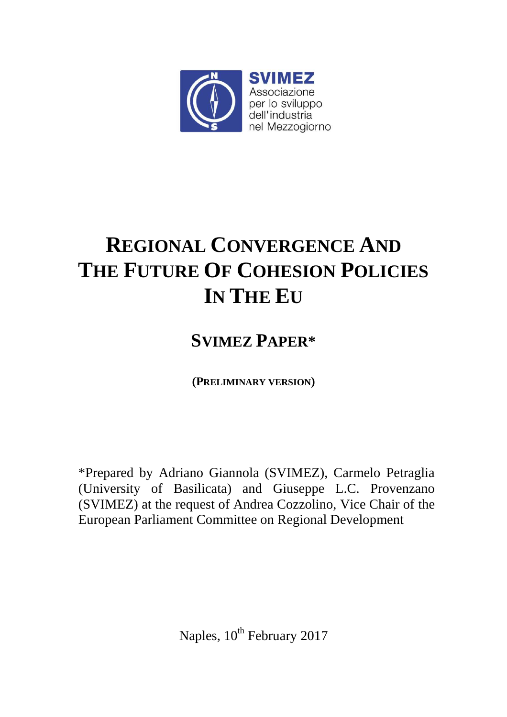

# **REGIONAL CONVERGENCE AND THE FUTURE OF COHESION POLICIES IN THE EU**

# **SVIMEZ PAPER\***

**(PRELIMINARY VERSION)** 

\*Prepared by Adriano Giannola (SVIMEZ), Carmelo Petraglia (University of Basilicata) and Giuseppe L.C. Provenzano (SVIMEZ) at the request of Andrea Cozzolino, Vice Chair of the European Parliament Committee on Regional Development

Naples, 10<sup>th</sup> February 2017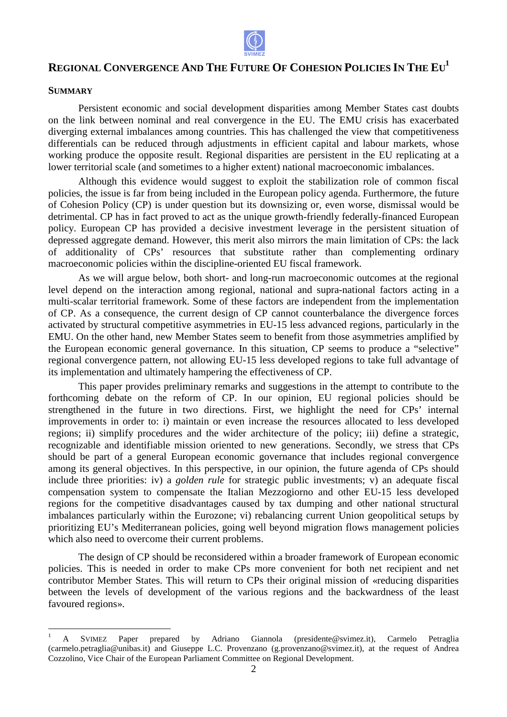

# REGIONAL CONVERGENCE AND THE FUTURE OF COHESION POLICIES IN THE  $\mathrm{EU}^1$

#### **SUMMARY**

 $\overline{a}$ 

Persistent economic and social development disparities among Member States cast doubts on the link between nominal and real convergence in the EU. The EMU crisis has exacerbated diverging external imbalances among countries. This has challenged the view that competitiveness differentials can be reduced through adjustments in efficient capital and labour markets, whose working produce the opposite result. Regional disparities are persistent in the EU replicating at a lower territorial scale (and sometimes to a higher extent) national macroeconomic imbalances. rities among Member States cast d<br>e EU. The EMU crisis has exacer<br>challenged the view that competitiv<br>cient capital and labour markets, v<br>are persistent in the EU replicating<br>ational macroeconomic imbalances.

Although this evidence would suggest to exploit the stabilization role of common fiscal policies, the issue is far from being included in the European policy agenda. Furthermore, the future of Cohesion Policy (CP) is under question but its downsizing or, even worse, dismissal would be detrimental. CP has in fact proved to act as the unique growth-friendly federally-financed European policy. European CP has provided a decisive investment leverage in the persistent situation of depressed aggregate demand. However, this merit also mirrors the main limitation of CPs: the lack of additionality of CPs' resources that substitute rather than complementing ordinary macroeconomic policies within the discipline-oriented EU fiscal framework. . However, this merit also mirrors the main limines<br>resources that substitute rather than cor<br>in the discipline-oriented EU fiscal framework.

As we will argue below, both short- and long-run macroeconomic outcomes at the regional As we will argue below, both short- and long-run macroeconomic outcomes at the regional<br>level depend on the interaction among regional, national and supra-national factors acting in a multi-scalar territorial framework. Some of these factors are independent from the implementation of CP. As a consequence, the current design of CP cannot counterbalance the divergence forces of CP. As a consequence, the current design of CP cannot counterbalance the divergence forces activated by structural competitive asymmetries in EU-15 less advanced regions, particularly in the EMU. On the other hand, new Member States seem to benefit from those asymmetries amplified by EMU. On the other hand, new Member States seem to benefit from those asymmetries amplified by the European economic general governance. In this situation, CP seems to produce a "selective" regional convergence pattern, not allowing EU-15 less developed regions to take full advantage of its implementation and ultimately hampering the effectiveness of CP.

This paper provides preliminary remarks and suggestions in the attempt to contribute to the forthcoming debate on the reform of CP. In our opinion, EU regional policies should be strengthened in the future in two directions. First, we highlight the need for CPs' internal improvements in order to: i) maintain or even increase the resources allocated to less developed regions; ii) simplify procedures and the wider architecture of the policy; iii) define a strategic, recognizable and identifiable mission oriented to new generations. Secondly, we stress that CPs should be part of a general European economic governance that includes regional convergence among its general objectives. In this perspective, in our opinion, the future agenda of CPs should include three priorities: iv) a *golden rule* for strategic public investments; v) an adequate fiscal compensation system to compensate the Italian Mezzogiorno and other EU-15 less developed regions for the competitive disadvantages caused by tax dumping and other national structural imbalances particularly within the Eurozone; vi) rebalancing current Union geopolitical setups by prioritizing EU's Mediterranean policies, going well beyond migration flows management policies which also need to overcome their current problems.

The design of CP should be reconsidered within a broader framework of European economic policies. This is needed in order to make CPs more convenient for both net recipient and net contributor Member States. This will return to CPs their original mission of «reducing disparities between the levels of development of the various regions and the backwardness of the least favoured regions».

<sup>1</sup> A SVIMEZ Paper prepared by Adriano Giannola (presidente@svimez.it), Carmelo Petraglia (carmelo.petraglia@unibas.it) and Giuseppe L.C. Provenzano (g.provenzano@svimez.it), at the request of Andrea Cozzolino, Vice Chair of the European Parliament Committee on Regional Development Development.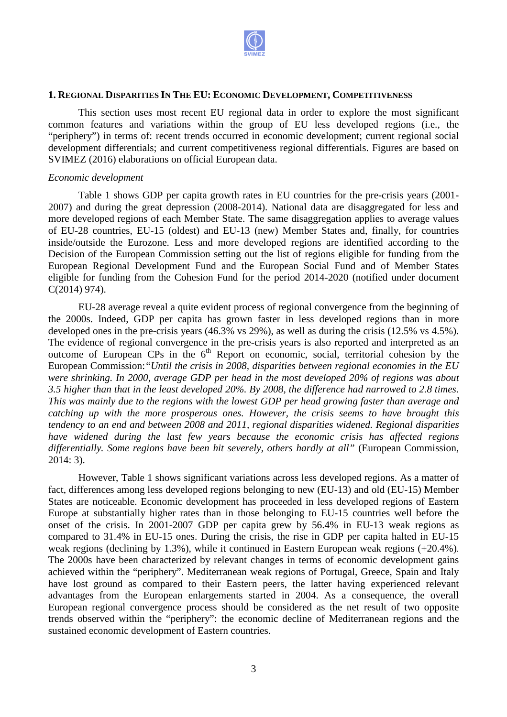

#### **1. REGIONAL DISPARITIES IN THE EU: ECONOMIC DEVELOPMENT, COMPETITIVENESS**

This section uses most recent EU regional data in order to explore the the most significant common features and variations within the group of EU less developed regions (i.e., the "periphery") in terms of: recent trends occurred in economic development; current regional social development differentials; and current competitiveness regional differentials. . Figures are based on SVIMEZ (2016) elaborations on official European data.

#### *Economic development*

Table 1 shows GDP per capita growth rates in EU countries for the pre-crisis years (2001-2007) and during the great depression (2008-2014). National data are disaggregated for less and more developed regions of each Member State. The same disaggregation applies to average values of EU-28 countries, EU-15 (oldest) and EU-13 (new) Member States and, finally, for countries inside/outside the Eurozone. Less and more developed regions are identified according to the Decision of the European Commission setting out the list of regions eligible for funding from the European Regional Development Fund and the European Social Fund and of Member States European Regional Development Fund and the European Social Fund and of Member States<br>eligible for funding from the Cohesion Fund for the period 2014-2020 (notified under document C(2014) 974). 2020 (notified under document<br>wergence from the beginning of

EU-28 average reveal a quite evident process of regional convergence the 2000s. Indeed, GDP per capita has grown faster in less developed regions than in more developed ones in the pre-crisis years  $(46.3\% \text{ vs } 29\%)$ , as well as during the crisis  $(12.5\% \text{ vs } 4.5\%)$ . The evidence of regional convergence in the pre-crisis years is also reported and interpreted as an outcome of European CPs in the 6<sup>th</sup> Report on economic, social, territorial cohesion by the European Commission: "Until the crisis in 2008, disparities between regional economies in the EU *were shrinking. In 2000, average GDP per head in the most developed 20% of regions was about 3.5 higher than that in the least developed 20%. By 2008, the difference had narrowed to 2.8 times.*  This was mainly due to the regions with the lowest GDP per head growing faster than average and *catching up with the more prosperous ones. However, the crisis seems to have brought this tendency to an end and between 2008 and 2011, regional disparities widened. Regional disparities have widened during the last few years because the e conomic* differentially. Some regions have been hit severely, others hardly at all" (European Commission, 2014: 3). itially. Some regions have been hit severely, others hardly at all" (European Commission,<br>).<br>However, Table 1 shows significant variations across less developed regions. As a matter of *Until the crisis in 2008, disparities between regional economies in the EU* average GDP per head in the most developed 20% of regions was about the least developed 20%. By 2008, the difference had narrowed to 2.8 times. T

fact, differences among less developed regions belonging to new (EU-13) and old (EU-15) Member States are noticeable. Economic development has proceeded in less developed regions of Eastern Europe at substantially higher rates than in those belonging to EU-15 countries well before the onset of the crisis. In 2001-2007 GDP per capita grew by 56.4% in EU-13 weak regions as compared to 31.4% in EU-15 ones. During the crisis, the rise in GDP per capita halted in EU-15 weak regions (declining by 1.3%), while it continued in Eastern European weak regions (+20.4%) . The 2000s have been characterized by relevant changes in terms of economic development gains The 2000s have been characterized by relevant changes in terms of economic development gains achieved within the "periphery". Mediterranean weak regions of Portugal, Greece, Spain and Italy have lost ground as compared to their Eastern peers, the latter having experienced relevant have lost ground as compared to their Eastern peers, the latter having experienced relevant advantages from the European enlargements started in 2004. As a consequence, the overall European regional convergence process should be considered as the net result of two opposite trends observed within the "periphery": the economic decline of Mediterranean regions and the sustained economic development of Eastern countries.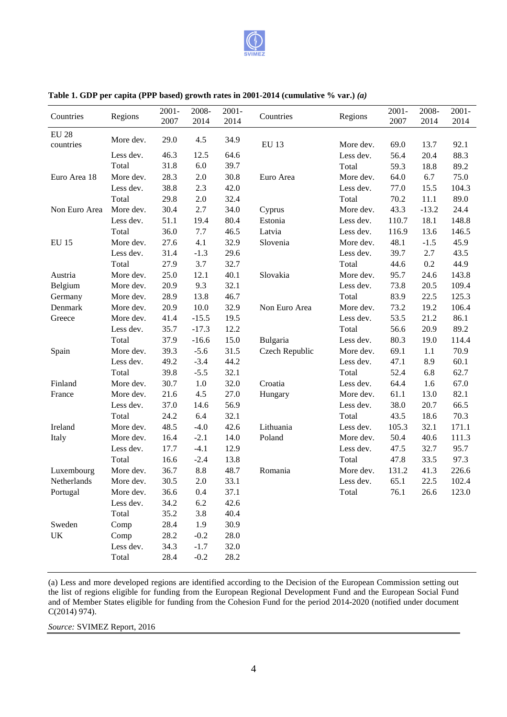

| Countries                 | Regions   | $2001 -$<br>2007 | 2008-<br>2014 | $2001 -$<br>2014 | Countries      | Regions   | $2001 -$<br>2007 | 2008-<br>2014 | $2001 -$<br>2014 |
|---------------------------|-----------|------------------|---------------|------------------|----------------|-----------|------------------|---------------|------------------|
| <b>EU 28</b><br>countries | More dev. | 29.0             | 4.5           | 34.9             | <b>EU 13</b>   | More dev. | 69.0             | 13.7          | 92.1             |
|                           | Less dev. | 46.3             | 12.5          | 64.6             |                | Less dev. | 56.4             | 20.4          | 88.3             |
|                           | Total     | 31.8             | 6.0           | 39.7             |                | Total     | 59.3             | 18.8          | 89.2             |
| Euro Area 18              | More dev. | 28.3             | 2.0           | 30.8             | Euro Area      | More dev. | 64.0             | 6.7           | 75.0             |
|                           | Less dev. | 38.8             | 2.3           | 42.0             |                | Less dev. | 77.0             | 15.5          | 104.3            |
|                           | Total     | 29.8             | 2.0           | 32.4             |                | Total     | 70.2             | 11.1          | 89.0             |
| Non Euro Area             | More dev. | 30.4             | 2.7           | 34.0             | Cyprus         | More dev. | 43.3             | $-13.2$       | 24.4             |
|                           | Less dev. | 51.1             | 19.4          | 80.4             | Estonia        | Less dev. | 110.7            | 18.1          | 148.8            |
|                           | Total     | 36.0             | 7.7           | 46.5             | Latvia         | Less dev. | 116.9            | 13.6          | 146.5            |
| <b>EU 15</b>              | More dev. | 27.6             | 4.1           | 32.9             | Slovenia       | More dev. | 48.1             | $-1.5$        | 45.9             |
|                           | Less dev. | 31.4             | $-1.3$        | 29.6             |                | Less dev. | 39.7             | 2.7           | 43.5             |
|                           | Total     | 27.9             | 3.7           | 32.7             |                | Total     | 44.6             | 0.2           | 44.9             |
| Austria                   | More dev. | 25.0             | 12.1          | 40.1             | Slovakia       | More dev. | 95.7             | 24.6          | 143.8            |
| Belgium                   | More dev. | 20.9             | 9.3           | 32.1             |                | Less dev. | 73.8             | 20.5          | 109.4            |
| Germany                   | More dev. | 28.9             | 13.8          | 46.7             |                | Total     | 83.9             | 22.5          | 125.3            |
| Denmark                   | More dev. | 20.9             | 10.0          | 32.9             | Non Euro Area  | More dev. | 73.2             | 19.2          | 106.4            |
| Greece                    | More dev. | 41.4             | $-15.5$       | 19.5             |                | Less dev. | 53.5             | 21.2          | 86.1             |
|                           | Less dev. | 35.7             | $-17.3$       | 12.2             |                | Total     | 56.6             | 20.9          | 89.2             |
|                           | Total     | 37.9             | $-16.6$       | 15.0             | Bulgaria       | Less dev. | 80.3             | 19.0          | 114.4            |
| Spain                     | More dev. | 39.3             | $-5.6$        | 31.5             | Czech Republic | More dev. | 69.1             | 1.1           | 70.9             |
|                           | Less dev. | 49.2             | $-3.4$        | 44.2             |                | Less dev. | 47.1             | 8.9           | 60.1             |
|                           | Total     | 39.8             | $-5.5$        | 32.1             |                | Total     | 52.4             | 6.8           | 62.7             |
| Finland                   | More dev. | 30.7             | 1.0           | 32.0             | Croatia        | Less dev. | 64.4             | 1.6           | 67.0             |
| France                    | More dev. | 21.6             | 4.5           | 27.0             | Hungary        | More dev. | 61.1             | 13.0          | 82.1             |
|                           | Less dev. | 37.0             | 14.6          | 56.9             |                | Less dev. | 38.0             | 20.7          | 66.5             |
|                           | Total     | 24.2             | 6.4           | 32.1             |                | Total     | 43.5             | 18.6          | 70.3             |
| Ireland                   | More dev. | 48.5             | $-4.0$        | 42.6             | Lithuania      | Less dev. | 105.3            | 32.1          | 171.1            |
| Italy                     | More dev. | 16.4             | $-2.1$        | 14.0             | Poland         | More dev. | 50.4             | 40.6          | 111.3            |
|                           | Less dev. | 17.7             | $-4.1$        | 12.9             |                | Less dev. | 47.5             | 32.7          | 95.7             |
|                           | Total     | 16.6             | $-2.4$        | 13.8             |                | Total     | 47.8             | 33.5          | 97.3             |
| Luxembourg                | More dev. | 36.7             | 8.8           | 48.7             | Romania        | More dev. | 131.2            | 41.3          | 226.6            |
| Netherlands               | More dev. | 30.5             | 2.0           | 33.1             |                | Less dev. | 65.1             | 22.5          | 102.4            |
| Portugal                  | More dev. | 36.6             | 0.4           | 37.1             |                | Total     | 76.1             | 26.6          | 123.0            |
|                           | Less dev. | 34.2             | 6.2           | 42.6             |                |           |                  |               |                  |
|                           | Total     | 35.2             | 3.8           | 40.4             |                |           |                  |               |                  |
| Sweden                    | Comp      | 28.4             | 1.9           | 30.9             |                |           |                  |               |                  |
| UK                        | Comp      | 28.2             | $-0.2$        | 28.0             |                |           |                  |               |                  |
|                           | Less dev. | 34.3             | $-1.7$        | 32.0             |                |           |                  |               |                  |
|                           | Total     | 28.4             | $-0.2$        | 28.2             |                |           |                  |               |                  |

#### **Table 1. GDP per capita (PPP based) growth rates in 2001 2001-2014 (cumulative % var.)** *(a)*

(a) Less and more developed regions are identified according to the Decision of the European Commission setting out the list of regions eligible for funding from the European Regional Development Fund and the European Social Fund and of Member States eligible for funding from the Cohesion Fund for the period 2014-2020 (notified under document C(2014) 974).

*Source:* SVIMEZ Report, 2016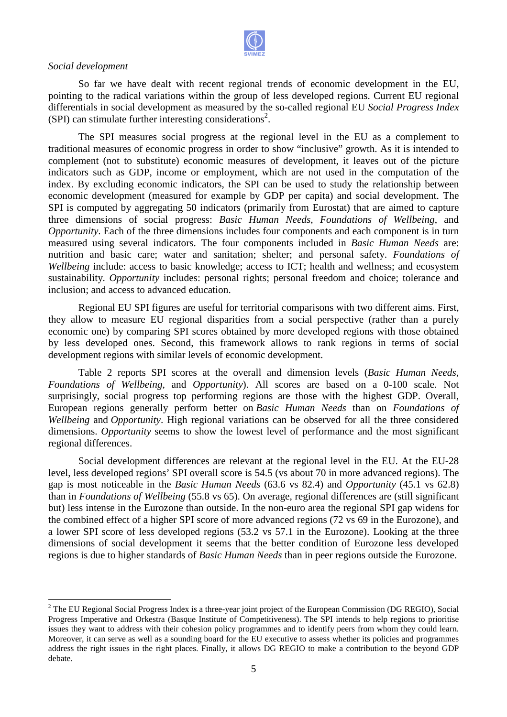

#### *Social development*

 $\overline{a}$ 

So far we have dealt with recent regional trends of economic development in the EU, pointing to the radical variations within the group of less developed regions. Current EU regional differentials in social development as measured by the so-called regional EU Social Progress Index  $(SPI)$  can stimulate further interesting considerations<sup>2</sup>.

The SPI measures social progress at the regional level in the EU as a complement to traditional measures of economic progress in order to show "inclusive" growth. As it is intended to complement (not to substitute) economic measures of development, it leaves out of the picture indicators such as GDP, income or employment, which are not used in the computation of the index. By excluding economic indicators, the SPI can be used to study the relationship between economic development (measured for example by GDP per capita) and social development. The SPI is computed by aggregating 50 indicators (primarily from Eurostat) that are aimed to capture three dimensions of social progress: *Basic Human Needs*, *Foundations of Wellbeing* , and Opportunity. Each of the three dimensions includes four components and each component is in turn measured using several indicators. The four components included in *Basic Human Needs* are: nutrition and basic care; water and sanitation; shelter; and personal safety. Foundations of Wellbeing include: access to basic knowledge; access to ICT; health and wellness; and ecosystem sustainability. *Opportunity* includes: personal rights; personal freedom and choice; tolerance and inclusion; and access to advanced education. : access to basic knowledge; access to ICT; health and wellness; *portunity* includes: personal rights; personal freedom and choice; ess to advanced education.<br>IU SPI figures are useful for territorial comparisons with two

Regional EU SPI figures are useful for territorial comparisons with two different aims. First, they allow to measure EU regional disparities from a social perspective (rather than a purely they allow to measure EU regional disparities from a social perspective (rather than a purely economic one) by comparing SPI scores obtained by more developed regions with those obtained by less developed ones. Second, this framework allows to rank regions in terms of social development regions with similar levels of economic development development.

Table 2 reports SPI scores at the overall and dimension levels ( *Basic Human Needs*, Foundations of Wellbeing, and Opportunity). All scores are based on a 0-100 scale. Not surprisingly, social progress top performing regions are those with the highest GDP. Overall, European regions generally perform better on *Basic Human Needs* than on *Foundations of Wellbeing* and *Opportunity*. High regional variations can be observed for all the three c considered dimensions. *Opportunity* seems to show the lowest level of performance and the most significant regional differences.

Social development differences are relevant at the regional level in the EU. At the EU-28 level, less developed regions' SPI overall score is 54.5 (vs about 70 in more advanced regions). The gap is most noticeable in the *Basic Human Needs* (63.6 vs 82.4) and *Opportunit pportunity* (45.1 vs 62.8) than in *Foundations of Wellbeing* (55.8 vs 65). On average, regional differences are (still significant but) less intense in the Eurozone than outside. In the non-euro area the regional SPI gap widens for but) less intense in the Eurozone than outside. In the non-euro area the regional SPI gap widens for the combined effect of a higher SPI score of more advanced regions (72 vs 69 in the Eurozone), and a lower SPI score of less developed regions (53.2 vs 57.1 in the Eurozone). Looking at the three dimensions of social development it seems that the better condition of Eurozone less developed regions is due to higher standards of *Basic Human Needs* than in peer regions outside the Eurozone.

 $2^2$  The EU Regional Social Progress Index is a three-year joint project of the European Commission (DG REGIO), Social Progress Imperative and Orkestra (Basque Institute of Competitiveness). The SPI intends to help regions to prioritise issues they want to address with their cohesion policy programmes and to identify peers from whom they could learn. Progress Imperative and Orkestra (Basque Institute of Competitiveness). The SPI intends to help regions to prioritise<br>issues they want to address with their cohesion policy programmes and to identify peers from whom they c address the right issues in the right places. Finally, it allows DG REGIO to make a contribution to the beyond GDP debate. year<br>e of C<br>icy p<br>for tl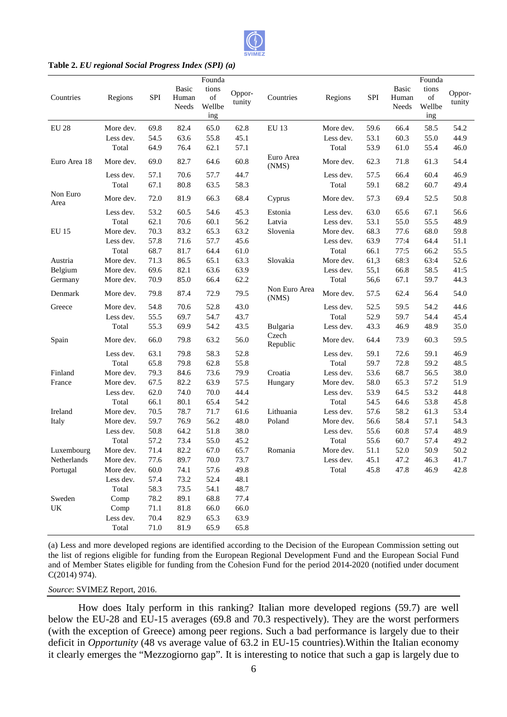

#### Table 2. *EU regional Social Progress Index (SPI) (a)*

| Countries        | Regions   | <b>SPI</b> | Basic<br>Human<br>Needs | Founda<br>tions<br>$% \left( \left( \mathcal{A},\mathcal{A}\right) \right) =\left( \mathcal{A},\mathcal{A}\right)$ of<br>Wellbe<br>ing | Oppor-<br>tunity | Countries              | Regions   | <b>SPI</b> | <b>Basic</b><br>Human<br>Needs | Founda<br>tions<br>of<br>Wellbe<br>ing | Oppor-<br>tunity |
|------------------|-----------|------------|-------------------------|----------------------------------------------------------------------------------------------------------------------------------------|------------------|------------------------|-----------|------------|--------------------------------|----------------------------------------|------------------|
| EU 28            | More dev. | 69.8       | 82.4                    | 65.0                                                                                                                                   | 62.8             | EU 13                  | More dev. | 59.6       | 66.4                           | 58.5                                   | 54.2             |
|                  | Less dev. | 54.5       | 63.6                    | 55.8                                                                                                                                   | 45.1             |                        | Less dev. | 53.1       | 60.3                           | 55.0                                   | 44.9             |
|                  | Total     | 64.9       | 76.4                    | 62.1                                                                                                                                   | 57.1             |                        | Total     | 53.9       | 61.0                           | 55.4                                   | 46.0             |
| Euro Area 18     | More dev. | 69.0       | 82.7                    | 64.6                                                                                                                                   | 60.8             | Euro Area<br>(NMS)     | More dev. | 62.3       | 71.8                           | 61.3                                   | 54.4             |
|                  | Less dev. | 57.1       | 70.6                    | 57.7                                                                                                                                   | 44.7             |                        | Less dev. | 57.5       | 66.4                           | 60.4                                   | 46.9             |
|                  | Total     | 67.1       | 80.8                    | 63.5                                                                                                                                   | 58.3             |                        | Total     | 59.1       | 68.2                           | 60.7                                   | 49.4             |
| Non Euro<br>Area | More dev. | 72.0       | 81.9                    | 66.3                                                                                                                                   | 68.4             | Cyprus                 | More dev. | 57.3       | 69.4                           | 52.5                                   | 50.8             |
|                  | Less dev. | 53.2       | 60.5                    | 54.6                                                                                                                                   | 45.3             | Estonia                | Less dev. | 63.0       | 65.6                           | 67.1                                   | 56.6             |
|                  | Total     | 62.1       | 70.6                    | 60.1                                                                                                                                   | 56.2             | Latvia                 | Less dev. | 53.1       | 55.0                           | 55.5                                   | 48.9             |
| EU 15            | More dev. | 70.3       | 83.2                    | 65.3                                                                                                                                   | 63.2             | Slovenia               | More dev. | 68.3       | 77.6                           | 68.0                                   | 59.8             |
|                  | Less dev. | 57.8       | 71.6                    | 57.7                                                                                                                                   | 45.6             |                        | Less dev. | 63.9       | 77:4                           | 64.4                                   | 51.1             |
|                  | Total     | 68.7       | 81.7                    | 64.4                                                                                                                                   | 61.0             |                        | Total     | 66.1       | 77:5                           | 66.2                                   | 55.5             |
| Austria          | More dev. | 71.3       | 86.5                    | 65.1                                                                                                                                   | 63.3             | Slovakia               | More dev. | 61,3       | 68:3                           | 63:4                                   | 52.6             |
| Belgium          | More dev. | 69.6       | 82.1                    | 63.6                                                                                                                                   | 63.9             |                        | Less dev. | 55,1       | 66.8                           | 58.5                                   | 41:5             |
| Germany          | More dev. | 70.9       | 85.0                    | 66.4                                                                                                                                   | 62.2             |                        | Total     | 56,6       | 67.1                           | 59.7                                   | 44.3             |
| Denmark          | More dev. | 79.8       | 87.4                    | 72.9                                                                                                                                   | 79.5             | Non Euro Area<br>(NMS) | More dev. | 57.5       | 62.4                           | 56.4                                   | 54.0             |
| Greece           | More dev. | 54.8       | 70.6                    | 52.8                                                                                                                                   | 43.0             |                        | Less dev. | 52.5       | 59.5                           | 54.2                                   | 44.6             |
|                  | Less dev. | 55.5       | 69.7                    | 54.7                                                                                                                                   | 43.7             |                        | Total     | 52.9       | 59.7                           | 54.4                                   | 45.4             |
|                  | Total     | 55.3       | 69.9                    | 54.2                                                                                                                                   | 43.5             | Bulgaria               | Less dev. | 43.3       | 46.9                           | 48.9                                   | 35.0             |
| Spain            | More dev. | 66.0       | 79.8                    | 63.2                                                                                                                                   | 56.0             | Czech<br>Republic      | More dev. | 64.4       | 73.9                           | 60.3                                   | 59.5             |
|                  | Less dev. | 63.1       | 79.8                    | 58.3                                                                                                                                   | 52.8             |                        | Less dev. | 59.1       | 72.6                           | 59.1                                   | 46.9             |
|                  | Total     | 65.8       | 79.8                    | 62.8                                                                                                                                   | 55.8             |                        | Total     | 59.7       | 72.8                           | 59.2                                   | 48.5             |
| Finland          | More dev. | 79.3       | 84.6                    | 73.6                                                                                                                                   | 79.9             | Croatia                | Less dev. | 53.6       | 68.7                           | 56.5                                   | 38.0             |
| France           | More dev. | 67.5       | 82.2                    | 63.9                                                                                                                                   | 57.5             | Hungary                | More dev. | 58.0       | 65.3                           | 57.2                                   | 51.9             |
|                  | Less dev. | 62.0       | 74.0                    | 70.0                                                                                                                                   | 44.4             |                        | Less dev. | 53.9       | 64.5                           | 53.2                                   | 44.8             |
|                  | Total     | 66.1       | 80.1                    | 65.4                                                                                                                                   | 54.2             |                        | Total     | 54.5       | 64.6                           | 53.8                                   | 45.8             |
| Ireland          | More dev. | 70.5       | 78.7                    | 71.7                                                                                                                                   | 61.6             | Lithuania              | Less dev. | 57.6       | 58.2                           | 61.3                                   | 53.4             |
| Italy            | More dev. | 59.7       | 76.9                    | 56.2                                                                                                                                   | 48.0             | Poland                 | More dev. | 56.6       | 58.4                           | 57.1                                   | 54.3             |
|                  | Less dev. | 50.8       | 64.2                    | 51.8                                                                                                                                   | 38.0             |                        | Less dev. | 55.6       | 60.8                           | 57.4                                   | 48.9             |
|                  | Total     | 57.2       | 73.4                    | 55.0                                                                                                                                   | 45.2             |                        | Total     | 55.6       | 60.7                           | 57.4                                   | 49.2             |
| Luxembourg       | More dev. | 71.4       | 82.2                    | 67.0                                                                                                                                   | 65.7             | Romania                | More dev. | 51.1       | 52.0                           | 50.9                                   | 50.2             |
| Netherlands      | More dev. | 77.6       | 89.7                    | 70.0                                                                                                                                   | 73.7             |                        | Less dev. | 45.1       | 47.2                           | 46.3                                   | 41.7             |
| Portugal         | More dev. | 60.0       | 74.1                    | 57.6                                                                                                                                   | 49.8             |                        | Total     | 45.8       | 47.8                           | 46.9                                   | 42.8             |
|                  | Less dev. | 57.4       | 73.2                    | 52.4                                                                                                                                   | 48.1             |                        |           |            |                                |                                        |                  |
|                  | Total     | 58.3       | 73.5                    | 54.1                                                                                                                                   | 48.7             |                        |           |            |                                |                                        |                  |
| Sweden           | Comp      | 78.2       | 89.1                    | 68.8                                                                                                                                   | 77.4             |                        |           |            |                                |                                        |                  |
| UK               | Comp      | 71.1       | 81.8                    | 66.0                                                                                                                                   | 66.0             |                        |           |            |                                |                                        |                  |
|                  | Less dev. | 70.4       | 82.9                    | 65.3                                                                                                                                   | 63.9             |                        |           |            |                                |                                        |                  |
|                  | Total     | 71.0       | 81.9                    | 65.9                                                                                                                                   | 65.8             |                        |           |            |                                |                                        |                  |

(a) Less and more developed regions are identified according to t the Decision of the European Commission setting out the list of regions eligible for funding from the European Regional Development Fund and the European Social Fund and of Member States eligible for funding from the Cohesion Fund for the period 2014 2014-2020 ( C(2014) 974). he Decision of the European Commission setting out<br>al Development Fund and the European Social Fund<br>d for the period 2014-2020 (notified under document

*Source*: SVIMEZ Report, 2016.

How does Italy perform in this ranking? Italian more developed regions (59 (59.7) are well below the EU-28 and EU-15 averages (69.8 and 70.3 respectively). They are the worst performers (with the exception of Greece) among peer regions. Such a bad performance is largely due to their deficit in *Opportunity* (48 vs average value of 63.2 in EU-15 countries). Within the Italian economy deficit in *Opportunity* (48 vs average value of 63.2 in EU-15 countries). Within the Italian economy it clearly emerges the "Mezzogiorno gap". It is interesting to notice that such a gap is largely due to the EU-28 and EU-15 averages (69.8 and 70.3 respectively). They are the worst performers<br>he exception of Greece) among peer regions. Such a bad performance is largely due to their<br>in *Opportunity* (48 vs average value of 6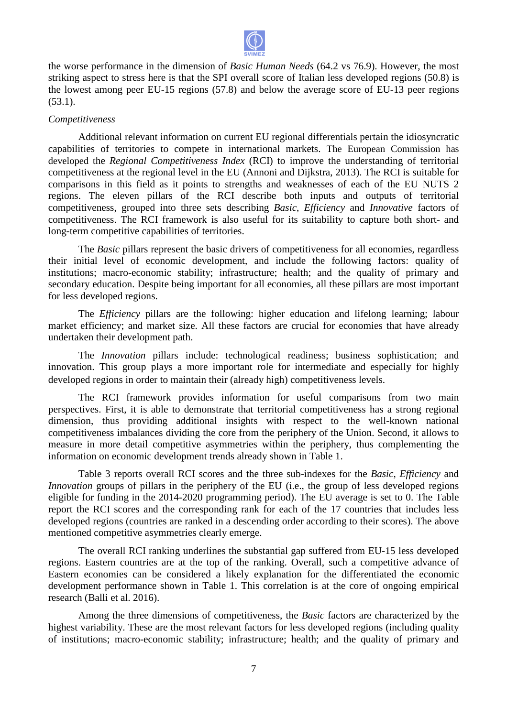

the worse performance in the dimension of *Basic Human Needs* (64.2 vs 76.9). However striking aspect to stress here is that the SPI overall score of Italian less developed regions (50.8) is the lowest among peer EU-15 regions (57.8) and below the average score of EU-13 peer regions  $(53.1).$ 

#### *Competitiveness*

Additional relevant information on current EU regional differentials pertain the idiosyncratic capabilities of territories to compete in international markets. The European Commission has developed the *Regional Competitiveness Index* (RCI) to improve the understanding of territorial competitiveness at the regional level in the EU (Annoni and Dijkstra, 2013). The RCI is suitable for comparisons in this field as it points to strengths and weaknesses of each of the EU NUTS 2 regions. The eleven pillars of the RCI describe both inputs and outputs of territorial competitiveness, grouped into three sets describing *Basic*, *Efficiency* and *Innovative* factors of competitiveness. The RCI framework is also useful for its suitability to capture both short- and long-term competitive capabilities of territories. in the dimension of *Basic Human Needs (64.2 y* 57.8). However, the most increasion fraction is here is that the SPI overall score of fathim less developed regions (50.8) is EU-15 regions of 0.83 is EU-15 regions of the m

The *Basic* pillars represent the basic drivers of competitiveness for all economies, regardless their initial level of economic development, and include the following factors: quality of institutions; macro-economic stability; infrastructure; health; and the quality of primary and secondary education. Despite being important for all economies, all these pillars are most important for less developed regions.

The *Efficiency* pillars are the following: higher education and lifelong learning; labour market efficiency; and market size. All these factors are crucial for economies that have already undertaken their development path path.

The *Innovation* pillars include: technological readiness; business sophistication; and innovation. This group plays a more important role for intermediate and especially for highly innovation. This group plays a more important role for intermediate and espe<br>developed regions in order to maintain their (already high) competitiveness levels.

The RCI framework provides information for useful comparisons from two main perspectives. First, it is able to demonstrate that territorial competitiveness h has a strong regional dimension, thus providing additional insights with respect to the well-known national competitiveness imbalances dividing the core from the periphery of the Union. Second, it allows to measure in more detail competitive asymmetries within the periphery, thus complementing the information on economic development trends already shown in Table 1.

Table 3 reports overall RCI scores and the three sub-indexes for the *Basic*, *Efficiency* and *Innovation* groups of pillars in the periphery of the EU (i.e., the group of less developed regions eligible for funding in the 2014-2020 2020 programming period). The EU average is set to 0. The Table report the RCI scores and the corresponding rank for each of the 17 countries that includes less developed regions (countries are ranked in a descending order according to their scores). The above mentioned competitive asymmetries clearly emerge.

The overall RCI ranking underlines the substantial gap suffered from EU-15 less developed regions. Eastern countries are at the top of the ranking. Overall, such a competitive advance of Eastern economies can be considered a likely explanation for the differentiated the economic development performance shown in Table 1. This correlation is at the core of ongoing empirical research (Balli et al. 2016).

Among the three dimensions of competitiveness, the *Basic* factors are characterized by the Among the three dimensions of competitiveness, the *Basic* factors are characterized by the highest variability. These are the most relevant factors for less developed regions (including quality of institutions; macro-economic stability; infrastructure; health; and the quality of primary and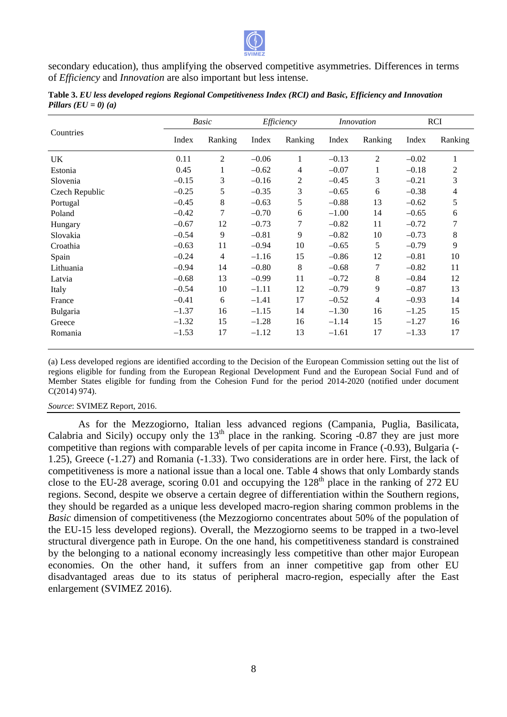

secondary education), thus amplifying the observed competitive asymmetries. Differences in terms secondary education), thus amplifying the observed competitive<br>of *Efficiency* and *Innovation* are also important but less intense.

|                | Basic   |                | Efficiency |                | <i>Innovation</i> |                | RCI     |         |
|----------------|---------|----------------|------------|----------------|-------------------|----------------|---------|---------|
| Countries      | Index   | Ranking        | Index      | Ranking        | Index             | Ranking        | Index   | Ranking |
| UK.            | 0.11    | $\overline{2}$ | $-0.06$    | 1              | $-0.13$           | $\overline{c}$ | $-0.02$ | 1       |
| Estonia        | 0.45    | 1              | $-0.62$    | $\overline{4}$ | $-0.07$           | 1              | $-0.18$ | 2       |
| Slovenia       | $-0.15$ | 3              | $-0.16$    | 2              | $-0.45$           | 3              | $-0.21$ | 3       |
| Czech Republic | $-0.25$ | 5              | $-0.35$    | 3              | $-0.65$           | 6              | $-0.38$ | 4       |
| Portugal       | $-0.45$ | 8              | $-0.63$    | 5              | $-0.88$           | 13             | $-0.62$ | 5       |
| Poland         | $-0.42$ | $\tau$         | $-0.70$    | 6              | $-1.00$           | 14             | $-0.65$ | 6       |
| Hungary        | $-0.67$ | 12             | $-0.73$    | 7              | $-0.82$           | 11             | $-0.72$ | 7       |
| Slovakia       | $-0.54$ | 9              | $-0.81$    | 9              | $-0.82$           | 10             | $-0.73$ | 8       |
| Croathia       | $-0.63$ | 11             | $-0.94$    | 10             | $-0.65$           | 5              | $-0.79$ | 9       |
| Spain          | $-0.24$ | $\overline{4}$ | $-1.16$    | 15             | $-0.86$           | 12             | $-0.81$ | 10      |
| Lithuania      | $-0.94$ | 14             | $-0.80$    | 8              | $-0.68$           | 7              | $-0.82$ | 11      |
| Latvia         | $-0.68$ | 13             | $-0.99$    | 11             | $-0.72$           | 8              | $-0.84$ | 12      |
| Italy          | $-0.54$ | 10             | $-1.11$    | 12             | $-0.79$           | 9              | $-0.87$ | 13      |
| France         | $-0.41$ | 6              | $-1.41$    | 17             | $-0.52$           | 4              | $-0.93$ | 14      |
| Bulgaria       | $-1.37$ | 16             | $-1.15$    | 14             | $-1.30$           | 16             | $-1.25$ | 15      |
| Greece         | $-1.32$ | 15             | $-1.28$    | 16             | $-1.14$           | 15             | $-1.27$ | 16      |
| Romania        | $-1.53$ | 17             | $-1.12$    | 13             | $-1.61$           | 17             | $-1.33$ | 17      |

**Table 3.** *EU less developed regions Regional Competitiveness Index (RCI) and Basic Basic, Efficiency and Innovation Pillars (EU = 0) (a)* 

(a) Less developed regions are identified according to the Decision of the European Commission setting out the list of regions eligible for funding from the European Regional Development Fund and the European Social Fund and of regions eligible for funding from the European Regional Development Fund and the European Social Fund and of<br>Member States eligible for funding from the Cohesion Fund for the period 2014-2020 (notified under document C(2014) 974).

#### *Source*: SVIMEZ Report, 2016.

As for the Mezzogiorno, Italian less advanced regions (Campania, Puglia, Basilicata, Calabria and Sicily) occupy only the  $13<sup>th</sup>$  place in the ranking. Scoring -0.87 they are just more Calabria and Sicily) occupy only the  $13<sup>th</sup>$  place in the ranking. Scoring -0.87 they are just more competitive than regions with comparable levels of per capita income in France (-0.93), Bulgaria (- $1.25$ ), Greece  $(-1.27)$  and Romania  $(-1.33)$ . Two considerations are in order here. First, the lack of competitiveness is more a national issue than a local one. Table 4 shows that only Lombardy stands close to the EU-28 average, scoring 0.01 and occupying the  $128<sup>th</sup>$  place in the ranking of 272 EU regions. Second, despite we observe a certain degree of differentiation within the Southern Southern regions, they should be regarded as a unique less developed macro-region sharing common problems in the *Basic* dimension of competitiveness (the Mezzogiorno concentrates about 50% of the population of the EU-15 less developed regions). Overall, the Mezzogiorno seems to be trapped in a two structural divergence path in Europe. On the one hand, his competitiveness standard is constrained by the belonging to a national economy increasingly less competitive than other major European economies. On the other hand, it suffers from an inner competitive gap from other EU disadvantaged areas due to its status of peripheral macro-region, especially after the East enlargement (SVIMEZ 2016). region sharing common problems in the<br>centrates about 50% of the population of<br>promoseems to be trapped in a two-level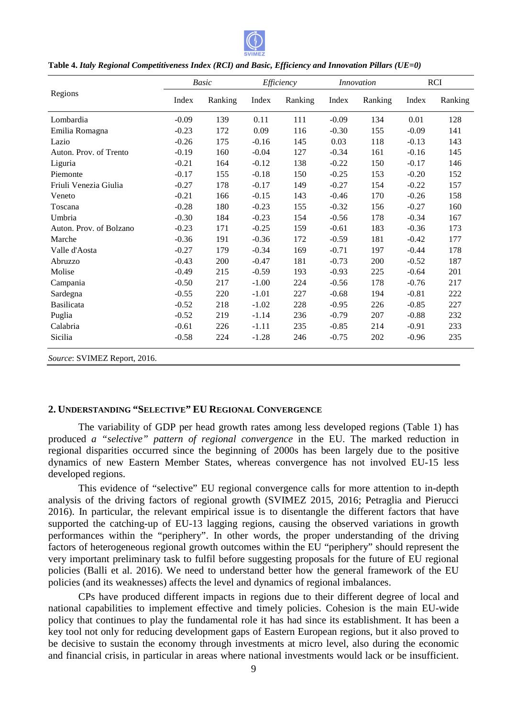

|                              | <b>Basic</b> |         | Efficiency |         | <i>Innovation</i> |         | <b>RCI</b> |         |
|------------------------------|--------------|---------|------------|---------|-------------------|---------|------------|---------|
| Regions                      | Index        | Ranking | Index      | Ranking | Index             | Ranking | Index      | Ranking |
| Lombardia                    | $-0.09$      | 139     | 0.11       | 111     | $-0.09$           | 134     | 0.01       | 128     |
| Emilia Romagna               | $-0.23$      | 172     | 0.09       | 116     | $-0.30$           | 155     | $-0.09$    | 141     |
| Lazio                        | $-0.26$      | 175     | $-0.16$    | 145     | 0.03              | 118     | $-0.13$    | 143     |
| Auton. Prov. of Trento       | $-0.19$      | 160     | $-0.04$    | 127     | $-0.34$           | 161     | $-0.16$    | 145     |
| Liguria                      | $-0.21$      | 164     | $-0.12$    | 138     | $-0.22$           | 150     | $-0.17$    | 146     |
| Piemonte                     | $-0.17$      | 155     | $-0.18$    | 150     | $-0.25$           | 153     | $-0.20$    | 152     |
| Friuli Venezia Giulia        | $-0.27$      | 178     | $-0.17$    | 149     | $-0.27$           | 154     | $-0.22$    | 157     |
| Veneto                       | $-0.21$      | 166     | $-0.15$    | 143     | $-0.46$           | 170     | $-0.26$    | 158     |
| Toscana                      | $-0.28$      | 180     | $-0.23$    | 155     | $-0.32$           | 156     | $-0.27$    | 160     |
| Umbria                       | $-0.30$      | 184     | $-0.23$    | 154     | $-0.56$           | 178     | $-0.34$    | 167     |
| Auton. Prov. of Bolzano      | $-0.23$      | 171     | $-0.25$    | 159     | $-0.61$           | 183     | $-0.36$    | 173     |
| Marche                       | $-0.36$      | 191     | $-0.36$    | 172     | $-0.59$           | 181     | $-0.42$    | 177     |
| Valle d'Aosta                | $-0.27$      | 179     | $-0.34$    | 169     | $-0.71$           | 197     | $-0.44$    | 178     |
| Abruzzo                      | $-0.43$      | 200     | $-0.47$    | 181     | $-0.73$           | 200     | $-0.52$    | 187     |
| Molise                       | $-0.49$      | 215     | $-0.59$    | 193     | $-0.93$           | 225     | $-0.64$    | 201     |
| Campania                     | $-0.50$      | 217     | $-1.00$    | 224     | $-0.56$           | 178     | $-0.76$    | 217     |
| Sardegna                     | $-0.55$      | 220     | $-1.01$    | 227     | $-0.68$           | 194     | $-0.81$    | 222     |
| <b>Basilicata</b>            | $-0.52$      | 218     | $-1.02$    | 228     | $-0.95$           | 226     | $-0.85$    | 227     |
| Puglia                       | $-0.52$      | 219     | $-1.14$    | 236     | $-0.79$           | 207     | $-0.88$    | 232     |
| Calabria                     | $-0.61$      | 226     | $-1.11$    | 235     | $-0.85$           | 214     | $-0.91$    | 233     |
| Sicilia                      | $-0.58$      | 224     | $-1.28$    | 246     | $-0.75$           | 202     | $-0.96$    | 235     |
| Source: SVIMEZ Report, 2016. |              |         |            |         |                   |         |            |         |

**Table 4.** *Italy Regional Competitiveness Index (RCI) and Basic Basic, Efficiency and Innovation Pillars (UE=0)*

## **2. UNDERSTANDING "SELECTIVE " EU REGIONAL CONVERGENCE**

The variability of GDP per head growth rates among less developed regions (Table 1) has produced *a "selective" pattern of regional convergence* in the EU. The marked reduction in produced *a* "selective" pattern of regional convergence in the EU. The marked reduction in regional disparities occurred since the beginning of 2000s has been largely due to the positive dynamics of new Eastern Member States, whereas convergence has not involved EU-15 less developed regions.

This evidence of "selective" EU regional convergence calls for more attention to in-depth analysis of the driving factors of regional growth (SVIMEZ 2015, 2016; Petraglia and Pierucci 2016). In particular, the relevant empirical issue is to disentangle the different factors that have supported the catching-up of EU-13 lagging regions, causing the observed variations in growth performances within the "periphery". In other words, the proper understanding of the driving factors of heterogeneous regional growth outcomes within the EU "periphery" should represent the very important preliminary task to fulfil before suggesting proposals for the future of EU regional policies (Balli et al. 2016). We need to understand better how the general framework of the EU policies (and its weaknesses) affects the level and dynamics of regional imbalances.

CPs have produced different impacts in regions due to their different degree of local and policies (Balli et al. 2016). We need to understand better how the general framework of the EU policies (and its weaknesses) affects the level and dynamics of regional imbalances.<br>CPs have produced different impacts in reg policy that continues to play the fundamental role it has had since its establishment. It has been a key tool not only for reducing development gaps of Eastern European regions, but it also proved to be decisive to sustain the economy through investments at micro level, also during the economic and financial crisis, in particular in areas where national investments would lack or be insufficient.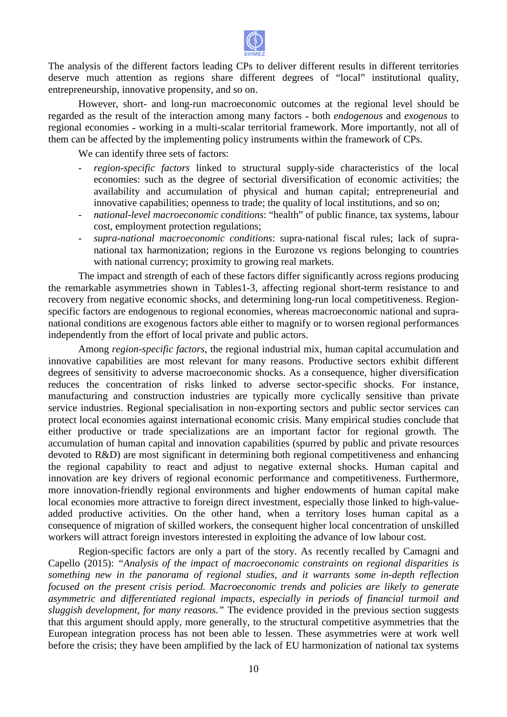

The analysis of the different factors leading CPs to deliver different results in different territories The analysis of the different factors leading CPs to deliver different results in different territories deserve much attention as regions share different degrees of "local" institutional quality, entrepreneurship, innovative propensity, and so on.

However, short- and long-run macroeconomic outcomes at the regional level should be regarded as the result of the interaction among many factors - both *endogenous* and *exogenous* to regional economies - working in a multi-scalar territorial framework. More importantly, not all of them can be affected by the implementing policy instruments within the framework of CPs.

We can identify three sets of factors:

- *region-specific factors* linked to structural supply-side characteristics of the local region-specific factors linked to structural supply-side characteristics of the local economies: such as the degree of sectorial diversification of economic activities; the availability and accumulation of physical and human capital ; entrepreneurial and innovative capabilities; openness to trade; the quality of local institutions, and so on;
- *national-level macroeconomic conditions*: "health" of public finance, tax systems, labour cost, employment protection regulations;
- supra-national macroeconomic conditions: supra-national fiscal rules; lack of supranational tax harmonization; regions in the Eurozone vs regions belonging to countries with national currency; proximity to growing real markets.

The impact and strength of each of these factors differ significantly across regions producing the remarkable asymmetries shown in Tables1-3, affecting regional short-term resistance to and the remarkable asymmetries shown in Tables1-3, affecting regional short-term resistance to and<br>recovery from negative economic shocks, and determining long-run local competitiveness. Regionspecific factors are endogenous to regional economies, whereas macroeconomic national and supranational conditions are exogenous factors able either to magnify or to worsen regional performances independently from the effort of local private and public actors.

Among *region-specific factors*, the regional industrial mix, human capital accumulation and innovative capabilities are most relevant for many reasons. Productive sectors exhibit different degrees of sensitivity to adverse macroeconomic shocks. As a consequence, higher diversification reduces the concentration of risks linked to adverse sector-specific shocks. For instance, manufacturing and construction industries are typically more cyclically sensitive than private service industries. Regional specialisation in non-exporting sectors and public sector services can protect local economies against international economic crisis. Many empirical studies conclude that either productive or trade specializations are an important factor for regional growth accumulation of human capital and innovation capabilities (spurred by public and private resources devoted to R&D) are most significant in determining both regional competitiveness and enhancing the regional capability to react and adjust to negative external shocks. Human capital and innovation are key drivers of regional economic performance and competitiveness. Furthermore, more innovation-friendly regional environments and higher endowments of human capital make local economies more attractive to foreign direct investment, especially those linked to high-valueadded productive activities. On the other hand, when a territory loses human capital as a consequence of migration of skilled workers, the consequent higher local concentration of unskilled workers will attract foreign investors interested in exploiting the advance of low labour cost. exporting sectors and public sector services can<br>bmic crisis. Many empirical studies conclude that<br>an important factor for regional growth. The

Region-specific factors are only a part of the story. As recently recalled by Camagni and Capello (2015): *"Analysis of the impact of macroeconomic constraints on regional disparities is*  Capello (2015): "Analysis of the impact of macroeconomic constraints on regional disparities is something new in the panorama of regional studies, and it warrants some in-depth reflection *focused on the present crisis period. Macroeconomic trends and policies are likely to generate asymmetric and differentiated regional impacts impacts, especially in periods of financial turmoil and*  sluggish development, for many reasons." The evidence provided in the previous section suggests that this argument should apply, more generally, to the structural competitive asymmetries asymmetries that the European integration process has not been able to lessen. These asymmetries were at work well before the crisis; they have been amplified by the lack of EU harmonization of national tax systems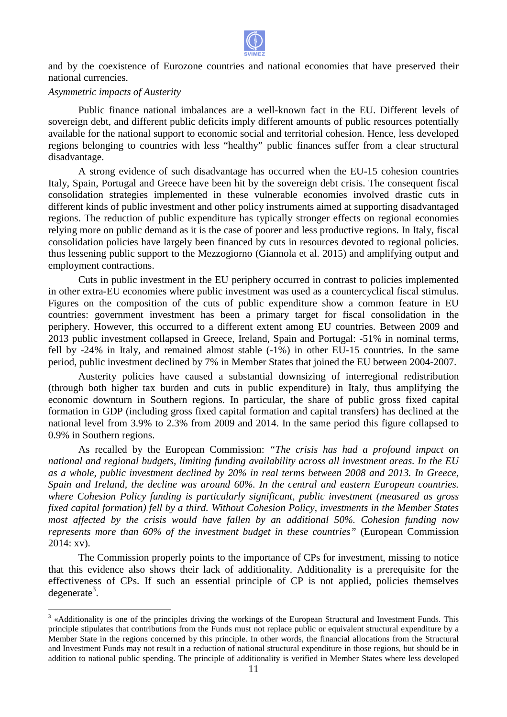

and by the coexistence of Eurozone countries and national economies that have preserved their national currencies.

#### *Asymmetric impacts of Austerity*

 $\overline{a}$ 

Public finance national imbalances are a well-known fact in the EU. Different levels of Public finance national imbalances are a well-known fact in the EU. Different levels of sovereign debt, and different public deficits imply different amounts of public resources potentially available for the national support to economic social and territorial cohesion. Hence, less developed regions belonging to countries with less "healthy" public finances suffer from a clear structural disadvantage.

A strong evidence of such disadvantage has occurred when the EU-15 cohesion countries Italy, Spain, Portugal and Greece have been hit by the sovereign debt crisis. The consequent fiscal Italy, Spain, Portugal and Greece have been hit by the sovereign debt crisis. The consequent fiscal consolidation strategies implemented in these vulnerable economies involved drastic cuts in different kinds of public investment and other policy instruments aimed at supporting disadvantaged regions. The reduction of public expenditure has typically stronger effects on regional economies relying more on public demand as it is the case of poorer and less productive regions. In Italy, fiscal consolidation policies have largely been financed by cuts in resources devoted to regional policies. thus lessening public support to the Mezzogiorno (Giannola et al. 2015) and amplifying output and employment contractions.

Cuts in public investment in the EU periphery occurred in contrast to policies implemented in other extra-EU economies where public investment was used as a countercyclical fiscal stimulus. Figures on the composition of the cuts of public expenditure show a common feature in EU countries: government investment has been a primary target for fiscal consolidation in the periphery. However, this occurred to a different extent among EU countries. Between 2009 and periphery. However, this occurred to a different extent among EU countries. Between 2009 and 2013 public investment collapsed in Greece, Ireland, Spain and Portugal: -51% in nominal terms, fell by -24% in Italy, and remained almost stable (-1%) in other EU-15 countries. In the same fell by -24% in Italy, and remained almost stable (-1%) in other EU-15 countries. In the same period, public investment declined by 7% in Member States that joined the EU between 2004-2007. EU economies where public investment was used as a countercyclical fiscal stimulus.<br>
e composition of the cuts of public expenditure show a common feature in EU<br>
vernment investment has been a primary target for fiscal con

Austerity policies have caused a substantial downsizing of interregional redistribution (through both higher tax burden and cuts in public expenditure) in Italy, thus amplifying the economic downturn in Southern regions. In particular, the share of public gross fixed capital formation in GDP (including gross fixed capital formation and capital transfers) has declined at the national level from 3.9% to 2.3% from 2009 and 2014. In the same period this figure collapsed to 0.9% in Southern regions.

As recalled by the European Commission: *"The crisis has had a profound impact on national and regional budgets, limiting funding availability across all investment areas. In the EU*  as a whole, public investment declined by 20% in real terms between 2008 and 2013. In Greece, *Spain and Ireland, the decline was around 60%. In the central and eastern European countries.* where Cohesion Policy funding is particularly significant, public investment (measured as gross fixed capital formation) fell by a third. Without Cohesion Policy, investments in the Member States *most affected by the crisis would have fallen by an additional 50%. Cohesion funding now represents more than 60% of the investment budget in these countries countries"* (European Commission 2014: xv).

The Commission properly points to the importance of CPs for investment, missing to notice that this evidence also shows their lack of additionality. Additionality is a prerequisite for the effectiveness of CPs. If such an essential principle of CP is not applied, policies themselves degenerate<sup>3</sup>.

 $3 \times$ Additionality is one of the principles driving the workings of the European Structural and Investment Funds. This principle stipulates that contributions from the Funds must not replace public or equivalent structural expenditure by a Member State in the regions concerned by this principle. In other words, the financial allocations from the Structural and Investment Funds may not result in a reduction of national structural expenditure in those regions, but should be in addition to national public spending. The principle of additionality is verified in Member States where less developed e European Structural and Investment Funds. This<br>ace public or equivalent structural expenditure by a<br>words, the financial allocations from the Structural<br>tural expenditure in those regions, but should be in<br>is verified in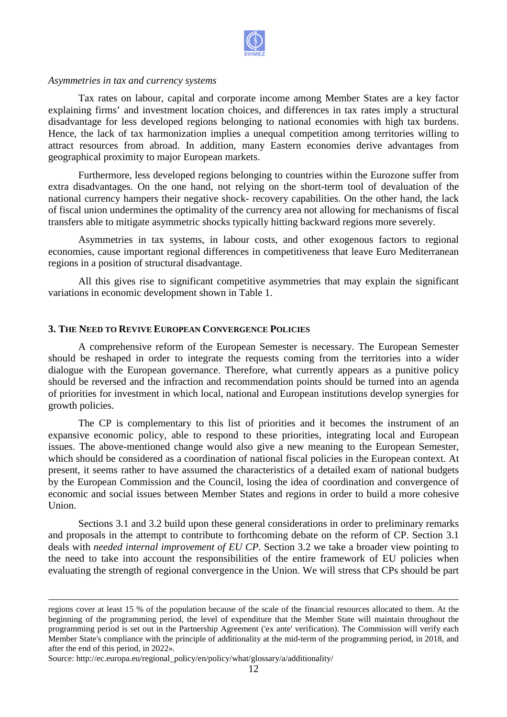

#### *Asymmetries in tax and currency systems*

Tax rates on labour, capital and corporate income among Member States are a key factor explaining firms' and investment location choices, and differences in tax rates imply a structural disadvantage for less developed regions belonging to national economies with high tax burdens. Hence, the lack of tax harmonization implies a unequal competition among territories willing to attract resources from abroad. In addition, many Eastern economies derive advantages from geographical proximity to major European markets.

Furthermore, less developed regions belonging to countries within the Eurozone suffer from extra disadvantages. On the one hand, not relying on the short-term tool of devaluation of the national currency hampers their negative shock- recovery capabilities. On the other hand, the lack national currency hampers their negative shock- recovery capabilities. On the other hand of fiscal union undermines the optimality of the currency area not allowing for mechanisms of fiscal transfers able to mitigate asymmetric shocks typically hitting backward regions more severely.

sfers able to mitigate asymmetric shocks typically hitting backward regions more severely.<br>Asymmetries in tax systems, in labour costs, and other exogenous factors to regional economies, cause important regional differences in competitiveness that leave Euro Mediterranean regions in a position of structural disadvantage.

All this gives rise to significant competitive asymmetries that may explain the significant variations in economic development shown in Table 1.

#### **3. THE NEED TO REVIVE EUROPEAN CONVERGENCE POLICIES**

A comprehensive reform of the European Semester is necessary. The European Semester should be reshaped in order to integrate the requests coming from the territories into a wider dialogue with the European governance. Therefore, what currently appears as a punitive policy should be reversed and the infraction and recommendation points should be turned into an agenda of priorities for investment in which local, national and European institutions develop synergies for growth policies.

The CP is complementary to this list of priorities and it becomes the instrument of an The CP is complementary to this list of priorities and it becomes the instrument of an expansive economic policy, able to respond to these priorities, integrating local and European issues. The above-mentioned change would also give a new meaning to the European Seme Semester, which should be considered as a coordination of national fiscal policies in the European context. At present, it seems rather to have assumed the characteristics of a detailed exam of national budgets by the European Commission and the Council, losing the idea of coordination and convergence of economic and social issues between Member States and regions in order to build a more cohesive Union. mentioned change would also give a new meaning to the European Semester, onsidered as a coordination of national fiscal policies in the European context. At ather to have assumed the characteristics of a detailed exam of n

Sections 3.1 and 3.2 build upon these general considerations in order to preliminary remarks and proposals in the attempt to contribute to forthcoming debate on the reform of CP. Section 3.1 deals with *needed internal improvement of EU CP* . Section 3.2 we take a broader view pointing to the need to take into account the responsibilities of the entire framework of EU policies when evaluating the strength of regional convergence in the Union. We will stress that CPs should be part

 $\overline{a}$ 

 $\overline{a}$ 

 $\overline{a}$ 

regions cover at least 15 % of the population because of the scale of the financial resources allocated to them. At the beginning of the programming period, the level of expenditure that the Member State will maintain throughout the programming period is set out in the Partnership Agreement ('ex ante' verification). The Commission will verify each programming period is set out in the Partnership Agreement ('ex ante' verification). The Commission will verify each<br>Member State's compliance with the principle of additionality at the mid-term of the programming period, after the end of this period, in 2022».

Source: http://ec.europa.eu/regional\_policy/en/policy/what/glossary/a/additionality/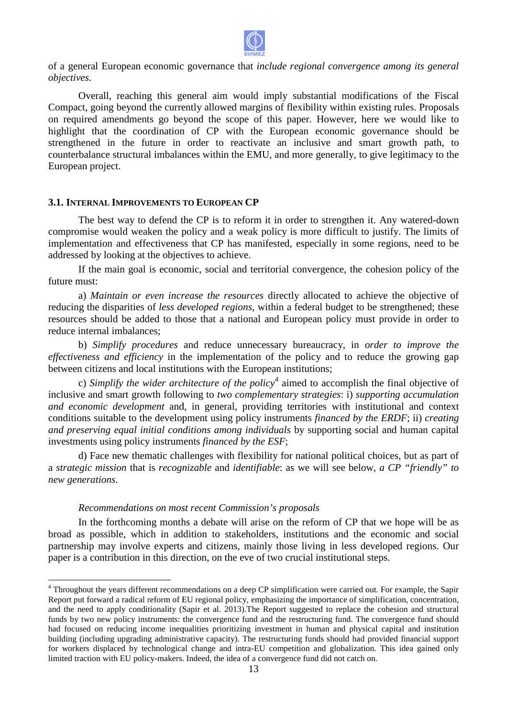

of a general European economic governance that *include regional convergence among its objectives*.

Overall, reaching this general aim would imply substantial modifications of the Fiscal Compact, going beyond the currently allowed margins of flexibility within existing rules. Proposals on required amendments go beyond the scope of this paper. However However, here we would like to highlight that the coordination of CP with the European economic governance should be strengthened in the future in order to reactivate an inclusive and smart growth path, to counterbalance structural imbalances within the EMU, and more generally, to give legitimacy to the European project. momic governance that *include* regional convergence among its general<br>this general aim would imply substantial modifications of the Fiscal<br>currently allowed margins of Reshibly within withing resting rules. Proposal<br>go be

#### **3.1. INTERNAL IMPROVEMENTS TO EUROPEAN CP**

The best way to defend the CP is to reform it in order to strengthen it. Any watered-down compromise would weaken the policy and a weak policy is more difficult to justify. The limits of implementation and effectiveness that CP has manifested, especially in some regions, need to be addressed by looking at the objectives to achieve.

If the main goal is economic, social and territorial convergence, the cohesion policy of the future must:

a) *Maintain or even increase the resources* directly allocated to achieve the objective of reducing the disparities of *less developed regions* , within a federal budget to be strengthened; these resources should be added to those that a national and European policy must provide in order to reduce internal imbalances;

b) *Simplify procedures* and reduce unnecessary bureaucracy, in *order to improve the effectiveness and efficiency* in the implementation of the policy and to reduce the growing gap between citizens and local institutions with the European institutions;

c) *Simplify the wider architecture of the policy*<sup>4</sup> aimed to accomplish the final objective of inclusive and smart growth following to  *two complementary strategies*: i) *supporting accumulation*  and economic development and, in general, providing territories with institutional and context conditions suitable to the development using policy instruments *financed by the ERDF*; ii) *creating* and preserving equal initial conditions among individuals by supporting social and human capital investments using policy instruments *financed by the ESF*;

d) Face new thematic challenges with flexibility for national political choices, but as part of d) Face new thematic challenges with flexibility for national political choices, but as part of a *strategic mission* that is *recognizable* and *identifiable*: as we will see below, *a CP* "friendly" to *new generations*.

#### *Recommendations on most recent recent Commission's proposals*

 $\overline{a}$ 

In the forthcoming months a debate will arise on the reform of CP that we hope will be as broad as possible, which in addition to stakeholders, institutions and the economic and social partnership may involve experts and citizens, mainly those living in less developed regions. Our paper is a contribution in this direction, on the eve of two crucial institutional steps.

<sup>&</sup>lt;sup>4</sup> Throughout the years different recommendations on a deep CP simplification were carried out. For example, the Sapir Report put forward a radical reform of EU regional policy, emphasizing the importance of simplification, concentration, and the need to apply conditionality (Sapir et al. 2013).The Report suggested to replace the cohesion and structural funds by two new policy instruments: the convergence fund and the restructuring fund. The convergence fund should had focused on reducing income inequalities prioritizing investment in human and physical capital and institution building (including upgrading administrative capacity). The restructuring funds should had provided financial support for workers displaced by technological change and intra-EU competition and globalization. This idea gained only limited traction with EU policy-makers. Indeed, the idea of a convergence fund did not catch on. U regional policy, emphase<br>apir et al. 2013).The Rep<br>ne convergence fund and<br>alities prioritizing invest<br>ative capacity). The restruchange and intra-EU co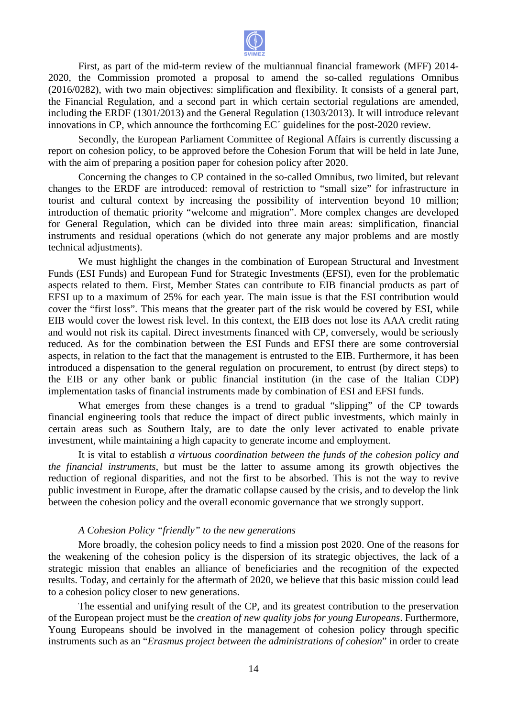

First, as part of the mid-term review of the multiannual financial framework (MFF) 2014-2020, the Commission promoted a proposal to amend the so-called regulations Omnibus (2016/0282), with two main objectives: simplification and flexibility. It consists of a general part, the Financial Regulation, and a second part in which certain sectorial regulations are amended, including the ERDF (1301/2013) and the General Regulation (1303/2013). It will introduce relevant innovations in CP, which announce the forthcoming EC<sup> $\prime$ </sup> guidelines for the post-2020 review.

Secondly, the European Parliament Committee of Regional Affairs is currently discussing a report on cohesion policy, to be approved before the Cohesion Forum that will be held in late June, with the aim of preparing a position paper for cohesion policy after 2020. nd a second part in which certain sectorial<br>2013) and the General Regulation (1303/2013)<br>nounce the forthcoming EC´ guidelines for the<br>ean Parliament Committee of Regional Affair<br>be approved before the Cohesion Forum tha<br>p

Concerning the changes to CP contained in the so-called Omnibus, two limited, but relevant changes to the ERDF are introduced: removal of restriction to "small size" for infrastructure in tourist and cultural context by increasing the possibility of intervention beyond 10 million; introduction of thematic priority "welcome and migration". More complex changes are developed for General Regulation, which can be divided into three main areas: simplification, financial instruments and residual operations (which do not generate any major problems and are mostly technical adjustments).

We must highlight the changes in the combination of European Structural and Investment Funds (ESI Funds) and European Fund for Strategic Investments (EFSI), even for the problematic aspects related to them. First, Member States can contribute to EIB financial products as part of EFSI up to a maximum of 25% for each year. The main issue is that the ESI contribution would cover the "first loss". This means that the greater part of the risk would be covered by ESI EIB would cover the lowest risk level. In this context, the EIB does not lose its AAA credit rating and would not risk its capital. Direct investments financed with CP, conversely, would be seriously reduced. As for the combination between the ESI Funds and EFSI there are some controversial aspects, in relation to the fact that the management is entrusted to the EIB. Furthermore, it has been introduced a dispensation to the general regulation on procurement, to entrust (by direct steps) to the EIB or any other bank or public financial institution (in the case of the Italian CDP) implementation tasks of financial instruments made by combination of ESI and EFSI funds. ions (which do not generate any major problems and<br>hanges in the combination of European Structural and<br>in Fund for Strategic Investments (EFSI), even for the contribute to EIB financial products as part of<br>main issue is that the ESI contribution would<br>art of the risk would be covered by ESI, while

What emerges from these changes is a trend to gradual "slipping" of the CP towards financial engineering tools that reduce the impact of direct public investments, which mainly in certain areas such as Southern Italy, are to date the only lever activated to enable private investment, while maintaining a high capacity to generate income and employment.

It is vital to establish *a virtuous coordination between the funds of the cohesion policy and the financial instruments*, but must be the latter to assume among its growth objectives the reduction of regional disparities , and not the first to be absorbed. This is not the way to revive public investment in Europe, after the dramatic collapse caused by the crisis, and to develop the link between the cohesion policy and the overall economic governance that we strongly support.

#### *A Cohesion Policy "friendly friendly" to the new generations*

More broadly, the cohesion policy needs to find a mission post 2020. One of the reasons for the weakening of the cohesion policy is the dispersion of its strategic objectives, the lack of a strategic mission that enables an alliance of beneficiaries and the recognition of the expected results. Today, and certainly for the aftermath of 2020, we believe that this basic mission could lead to a cohesion policy closer to new generations.

The essential and unifying result of the CP, and its greatest contribution to the preservation of the European project must be the *creation of new quality jobs for young Europeans* . Furthermore, Young Europeans should be involved in the management of cohesion policy through specific Young Europeans should be involved in the management of cohesion policy through specific<br>instruments such as an "*Erasmus project between the administrations of cohesion*" in order to create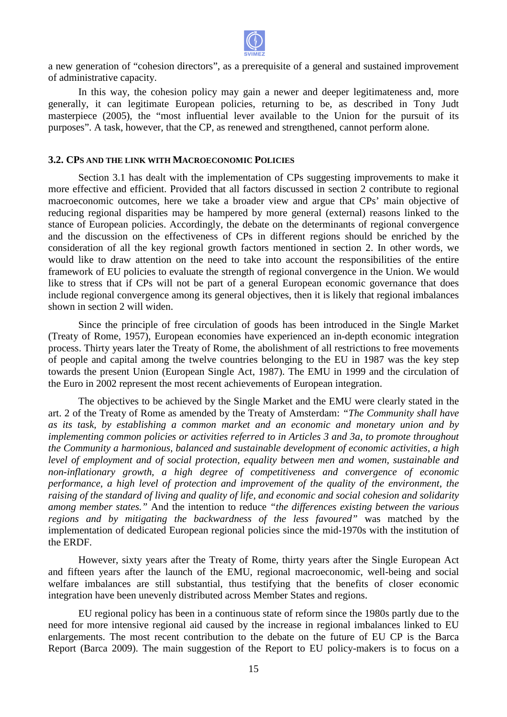

a new generation of "cohesion directors", as a prerequisite of a general and sustained improvement of administrative capacity.

In this way, the cohesion policy may gain a newer and deeper legitimateness and, more generally, it can legitimate European policies, returning to be, as described in Tony Judt masterpiece (2005), the "most influential lever available to the Union for the pursuit of its masterpiece (2005), the "most influential lever available to the Union for the pursuit purposes". A task, however, that the CP, as renewed and strengthened, cannot perform alone.

#### **3.2. CPS AND THE LINK WITH MACROECONOMIC POLICIES**

Section 3.1 has dealt with the implementation of CPs suggesting improvements to make it more effective and efficient. Provided that all factors discussed in section 2 contribute to regional macroeconomic outcomes, here we take a broader view and argue that CPs' main objective of reducing regional disparities may be hampered by more general (external) reasons linked to the stance of European policies. Accordingly, the debate on the determinants of regional convergence and the discussion on the effectiveness of CPs in different regions should be enriched by the consideration of all the key regional growth f factors mentioned in section 2. would like to draw attention on the need to take into account the responsibilities of the entire framework of EU policies to evaluate the strength of regional convergence in the Union. We would like to stress that if CPs will not be part of a general European economic governance that does include regional convergence among its general objectives, then it is likely that regional imbalances shown in section 2 will widen. he debate on the determinants of regional convergence<br>If CPs in different regions should be enriched by the<br>th factors mentioned in section 2. In other words, we

Since the principle of free circulation of goods has been introduced in the Single Market (Treaty of Rome, 1957), European economies have experienced an in-depth economic integration process. Thirty years later the Treaty of Rome, the abolishment of all restrictions to free movements of people and capital among the twelve countries belonging to the EU in 1987 was the key step towards the present Union (European Single Act, 1987). The EMU in 1999 and the circulation of the Euro in 2002 represent the most recent achievements of European integratio in-depth econversited<br>formation that in 1987<br>in 1999 and<br>integration.

uro in 2002 represent the most recent achievements of European integration.<br>The objectives to be achieved by the Single Market and the EMU were clearly stated in the art. 2 of the Treaty of Rome as amended by the Treaty of Amsterdam: "The Community shall have as its task, by establishing a common market and an economic and monetary union and by *implementing common policies or activities referred to in Articles 3 and 3a 3a, to promote throughout the Community a harmonious, balanced and sustainable development of economic activities, a high* level of employment and of social protection, equality between men and women, sustainable and *non-inflationary growth, a high degree of competitiveness and convergence of economic performance, a high level of protection and improvement of the quality of the environment, the* raising of the standard of living and quality of life, and economic and social cohesion and solidarity *among member states."* And the intention to reduce *"the differences existing between the various*  regions and by mitigating the backwardness of the less favoured" was matched by the implementation of dedicated European regional policies since the mid-1970s with the institution of the ERDF.

However, sixty years after the Treaty of Rome, thirty years after the Single European Act However, sixty years after the Treaty of Rome, thirty years after the Single European Act and fifteen years after the launch of the EMU, regional macroeconomic, well-being and social welfare imbalances are still substantial, thus testifying that the benefits of closer economic integration have been unevenly distributed across Member States and regions.

EU regional policy has been in a continuous state of reform since the 1980s 1980s partly due to the need for more intensive regional aid caused by the increase in regional imbalances linked to EU enlargements. The most recent contribution to the debate on the future of EU CP is the Barca Report (Barca 2009). The main suggestion of the Report to EU policy-makers is to focus on a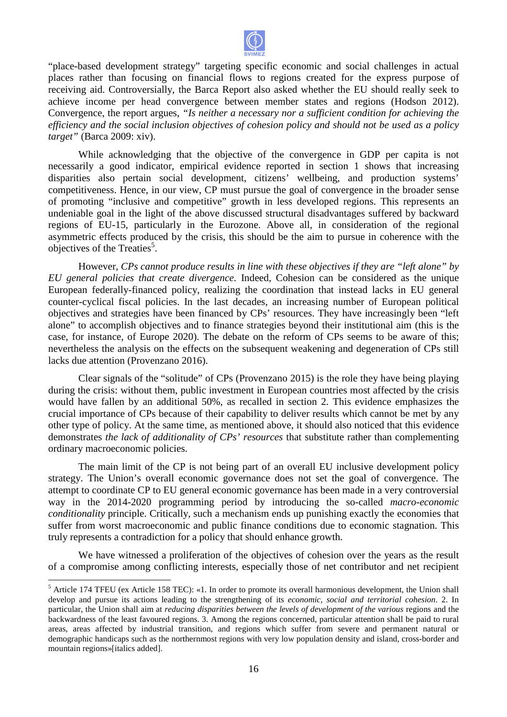

"place-based development strategy" targeting specific economic and social challenges in actual places rather than focusing on financial flows to regions created for the express purpose of receiving aid. Controversially, the Barca Report also asked whether the EU should really seek to achieve income per head convergence between member states and regions (Hodson 2012). Convergence, the report argues, *" "Is neither a necessary nor a sufficient condition for achieving the*  Convergence, the report argues, "Is neither a necessary nor a sufficient condition for achieving the efficiency and the social inclusion objectives of cohesion policy and should not be used as a policy *target"* (Barca 2009: xiv).

While acknowledging that the objective of the convergence in GDP per capita is not necessarily a good indicator, empirical evidence reported in section 1 shows that increasing disparities also pertain social development, citizens' wellbeing, and production systems' competitiveness. Hence, in our view, CP must pursue the goal of convergence in the broader sense of promoting "inclusive and competitive" growth in less developed regions. This represents an undeniable goal in the light of the above discussed structural disadvantages suffered by backward regions of EU-15, particularly in the Eurozone. Above all, in consideration of the regional asymmetric effects produced by the crisis, this should be the aim to pursue in coherence with the objectives of the Treaties<sup>5</sup>.

However, *CPs cannot produce results in line with th these objectives if the they are "left alone" by*  EU general policies that create divergence. Indeed, Cohesion can be considered as the unique European federally-financed policy, realizing the coordination that instead lacks in EU general counter-cyclical fiscal policies. In the last decades, an increasing number of European political objectives and strategies have been financed by CPs' resources. They have increasingly been "left alone" to accomplish objectives and to finance strategies beyond their institutional case, for instance, of Europe 2020). The debate on the reform of CPs seems to be aware of this; nevertheless the analysis on the effects on the subsequent weakening and degeneration of CPs still lacks due attention (Provenzano 2016 2016). ncreasing number of European political<br>vurces. They have increasingly been "left<br>beyond their institutional aim (this is the

Clear signals of the "solitude" of CPs (Provenzano 2015) is the role they have being playing during the crisis: without them, public investment in European countries most affected by the crisis would have fallen by an additional 50%, as recalled in section 2. This evidence emphasizes the crucial importance of CPs because of their capability to deliver results which cannot be met by any crucial importance of CPs because of their capability to deliver results which cannot be met by any other type of policy. At the same time, as mentioned above, it should also noticed that this evidence demonstrates *the lack of additionality of CPs' resources* that substitute rather than complementing ordinary macroeconomic policies.

The main limit of the CP is not being part of an overall EU inclusive development policy strategy. The Union's overall economic governance does not set the goal of convergence. The attempt to coordinate CP to EU general economic governance has been made in a very controversial attempt to coordinate CP to EU general economic governance has been made in a very controversial way in the 2014-2020 programming period by introducing the so-called *macro-economic* conditionality principle. Critically, such a mechanism ends up punishing exactly the economies that suffer from worst macroeconomic and public finance conditions due to economic stagnation. This truly represents a contradiction for a policy that should enhance growth.

We have witnessed a proliferation of the objectives of cohesion over the years as the result of a compromise among conflicting interests, especially those of net contributor and net recipient

 $\overline{a}$ 

 $<sup>5</sup>$  Article 174 TFEU (ex Article 158 TEC): «1. In order to promote its overall harmonious development, the Union shall</sup> develop and pursue its actions leading to the strengthening of its *economic, social and territorial cohesion* . 2. In particular, the Union shall aim at *reducing disparities between the levels of development of the various* regions and the backwardness of the least favoured regions. 3 3. Among the regions concerned, particular attention shall be paid to rural areas, areas affected by industrial transition, and regions which suffer from severe and permanent natural or areas, areas affected by industrial transition, and regions which suffer from severe and permanent natural or<br>demographic handicaps such as the northernmost regions with very low population density and island, cross-border mountain regions»[italics added].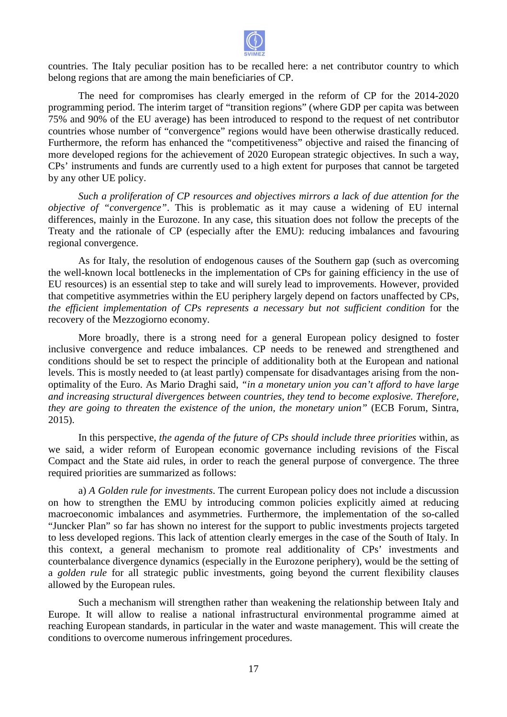

countries. The Italy peculiar position has to be recalled here: a net contributor country to which belong regions that are among the main beneficiaries of CP.

The need for compromises has clearly emerged in the reform of CP for the 2014-2020 programming period. The interim target of "transition regions" (where GDP per capita was between 75% and 90% of the EU average) has been introduced to respond to the request of net contributor countries whose number of "convergence" regions would have been otherwise drastically reduced. Furthermore, the reform has enhanced the "competitiveness" objective and raised the financing of more developed regions for the achievement of 2020 European strategic objectives. In such a way, CPs' instruments and funds are currently used to a high extent for purposes that cannot be targeted by any other UE policy.

*Such a proliferation of CP resources and objectives mirrors a lack of due attention for the objective of "convergence"*. This is problematic as it may cause a widening of EU internal differences, mainly in the Eurozone. In any case, this situation does not follow the precepts of the Treaty and the rationale of CP (especially after the EMU): reducing imbalances and favouring regional convergence.

As for Italy, the resolution of endogenous causes of the Southern gap (such as overcoming the well-known local bottlenecks in the implementation of CPs for gaining efficiency in the use of the well-known local bottlenecks in the implementation of CPs for gaining efficiency in the use of EU resources) is an essential step to take and will surely lead to improvements. However, provided that competitive asymmetries within the EU periphery largely depend on factors factors unaffected by CPs, the efficient implementation of CPs represents a necessary but not sufficient condition for the recovery of the Mezzogiorno economy.

More broadly, there is a strong need for a general European policy designed to foster inclusive convergence and reduce imbalances. CP needs to be renewed and strengthened and conditions should be set to respect the principle of additionality both at the European and national levels. This is mostly needed to (at least partly) compensate for disadvantages arising from the nonoptimality of the Euro. As Mario Draghi said, "in a monetary union you can't afford to have large *and increasing structural divergences between countries, they tend to become explosive. Therefore,* they are going to threaten the existence of the union, the monetary union" (ECB Forum, Sintra, 2015).

In this perspective, *the agenda of the future of C CPs should include three priorities* within, as we said, a wider reform of European economic governance including revisions of the Fiscal Compact and the State aid rules, in order to reach the general purpose of convergence. The three required priorities are summarized as follows:

a) *A Golden rule for investments* . The current European policy does not include a discussion on how to strengthen the EMU by introducing common policies explicitly aimed at reducing macroeconomic imbalances and asymmetries. Furthermore, the implementation of the so-called "Juncker Plan" so far has shown no interest for the support to public investments projects targeted to less developed regions. This lack of attention clearly emerges in the case of the South of Italy. In this context, a general mechanism to promote real additionality of CPs' investments and counterbalance divergence dynamics (especially in the Eurozone periphery), would be the setting of a *golden rule* for all strategic public investments, going beyond the current flexibility clauses allowed by the European rules.

Such a mechanism will strengthen rather than weakening the relationship between Italy and Europe. It will allow to realise a national infrastructural environmental programme aimed at reaching European standards, in particular in the water and waste management. This will create the conditions to overcome numerous infringement procedures.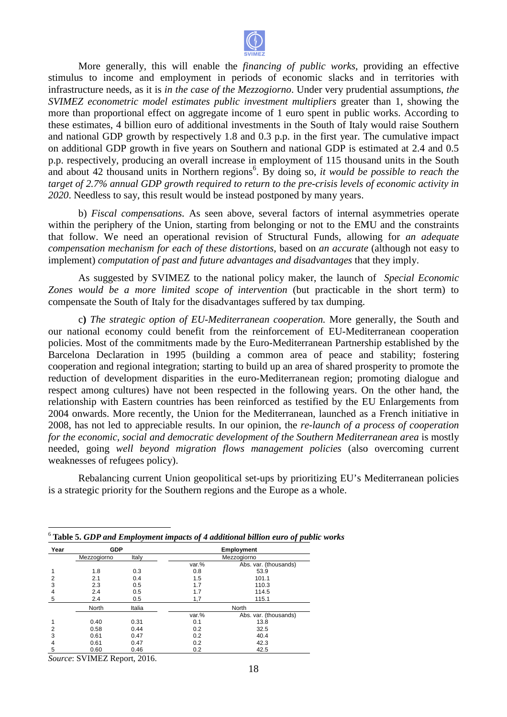

More generally, this will enable the *financing of public works*, providing an effective stimulus to income and employment in periods of economic slacks and in territories with infrastructure needs, as it is *in the case of the Mezzogiorno*. Under very prudential assumptions, *the SVIMEZ econometric model estimates public investment multipliers* greater than 1 1, showing the more than proportional effect on aggregate income of 1 euro spent in public works. According to these estimates, 4 billion euro of additional investments in the South of Italy would raise Southern and national GDP growth by respectively 1.8 and 0.3 p.p. in the first year. The cumulative impact on additional GDP growth in five years on Southern and national GDP is estimated at 2.4 and 0.5 p.p. respectively, producing an overall increase in employment of 115 thousand units in the South and about 42 thousand units in Northern regions 6 . By doing so, *it would be possible to reach the*  target of 2.7% annual GDP growth required to return to the pre-crisis levels of economic activity in 2020. Needless to say, this result would be instead postponed by many years.

b) *Fiscal compensations*. As seen above, several factors of internal asymmetries operate within the periphery of the Union, starting from belonging or not to the EMU and the constraints that follow. We need an operational revision of Structural Funds, allowing for *an adequate compensation mechanism for each of these distortions* , based on *an accurate* (although not easy to implement) *computation of past and future advantages and disadvantages* that they imply.

As suggested by SVIMEZ to the national policy maker, the launch of *Special Economic* Zones would be a more limited scope of intervention (but practicable in the short term) to compensate the South of Italy for the disadvantages suffered by tax dumping.

c) The strategic option of EU-Mediterranean cooperation. More generally, the South and our national economy could benefit from the reinforcement of EU-Mediterranean cooperation policies. Most of the commitments made by the Euro-Mediterranean Partnership established by the Barcelona Declaration in 1995 (building a common area of peace and stability; fostering cooperation and regional integration; starting to build up an area of shared prosperity to promote the reduction of development disparities in the euro-Mediterranean region; promoting dialogue and respect among cultures) have not been respected in the following years. On the other hand, the relationship with Eastern countries has been reinforced as testified by the EU Enlargements from 2004 onwards. More recently, the Union for the Mediterranean, launched as a French initiative in 2008, has not led to appreciable results. In our opinion, the *re-launch of a process of cooperation* for the economic, social and democratic development of the Southern Mediterranean area is mostly needed, going well beyond migration flows management policies (also overcoming current weaknesses of refugees policy).

Rebalancing current Union geopolitical set-ups by prioritizing EU's Mediterranean policies is a strategic priority for the Southern regions and the Europe as a whole.

| Year | <b>GDP</b>             |       | <b>Employment</b> |                       |  |  |  |  |
|------|------------------------|-------|-------------------|-----------------------|--|--|--|--|
|      | Mezzogiorno            | Italy | Mezzogiorno       |                       |  |  |  |  |
|      |                        |       | var.%             | Abs. var. (thousands) |  |  |  |  |
|      | 1.8                    | 0.3   | 0.8               | 53.9                  |  |  |  |  |
| 2    | 2.1                    | 0.4   | 1.5               | 101.1                 |  |  |  |  |
| 3    | 2.3                    | 0.5   | 1.7               | 110.3                 |  |  |  |  |
| 4    | 2.4                    | 0.5   | 1.7               | 114.5                 |  |  |  |  |
| 5    | 2.4                    | 0.5   | 1,7               | 115.1                 |  |  |  |  |
|      | <b>North</b><br>Italia |       | North             |                       |  |  |  |  |
|      |                        |       | var.%             | Abs. var. (thousands) |  |  |  |  |
|      | 0.40                   | 0.31  | 0.1               | 13.8                  |  |  |  |  |
| 2    | 0.58                   | 0.44  | 0.2               | 32.5                  |  |  |  |  |
| 3    | 0.61                   | 0.47  | 0.2               | 40.4                  |  |  |  |  |
|      | 0.61                   | 0.47  | 0.2               | 42.3                  |  |  |  |  |
| 5    | 0.60                   | 0.46  | 0.2               | 42.5                  |  |  |  |  |
|      |                        |       |                   |                       |  |  |  |  |

6  **Table 5.** *GDP and Employment impact mpacts of 4 additional billion euro of public works* 

*Source*: SVIMEZ Report, 2016.

 $\overline{a}$